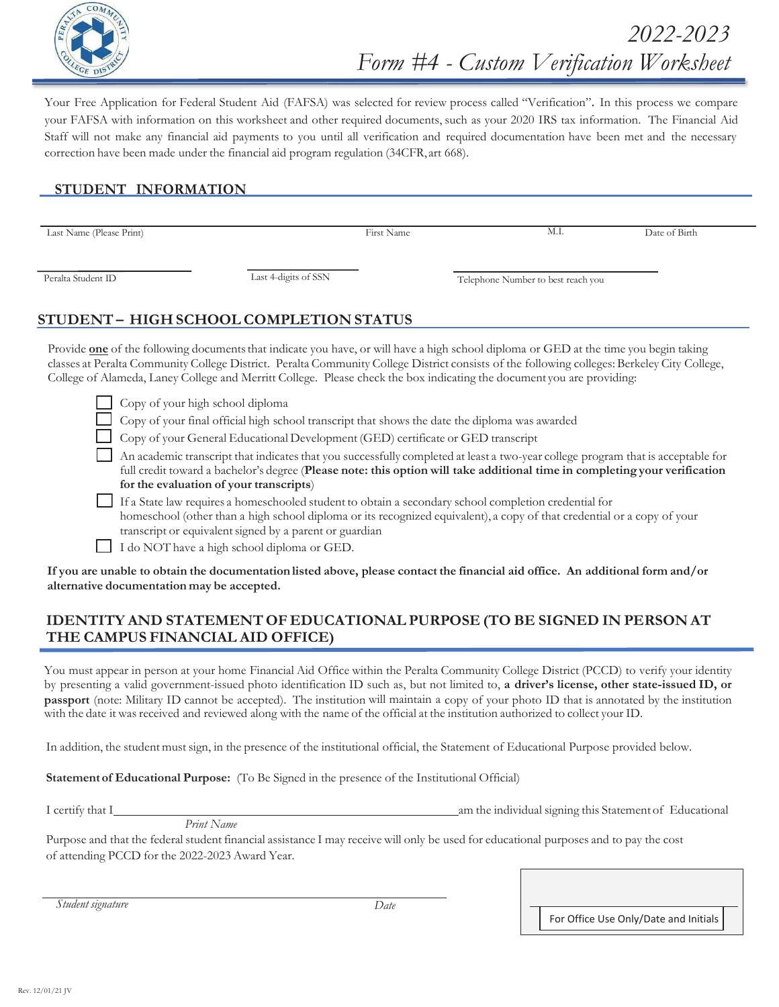

Your Free Application for Federal Student Aid (FAFSA) was selected for review process called "Verification". In this process we compare your FAFSA with information on this worksheet and other required documents, such as your 2020 IRS tax information. The Financial Aid Staff will not make any financial aid payments to you until all verification and required documentation have been met and the necessary correction have been made under the financial aid program regulation (34CFR, art 668).

## **STUDENT INFORMATION**

Last Name (Please Print) First Name M.I. Date of Birth

Peralta Student ID Last 4-digits of SSN Telephone Number to best reach you

# **STUDENT – HIGH SCHOOL COMPLETION STATUS**

Provide **one** of the following documents that indicate you have, or will have a high school diploma or GED at the time you begin taking classes at Peralta Community College District. Peralta Community College District consists of the following colleges: Berkeley City College, College of Alameda, Laney College and Merritt College. Please check the box indicating the document you are providing:

Copy of your high school diploma

Copy of your final official high school transcript that shows the date the diploma was awarded

Copy of your General Educational Development (GED) certificate or GED transcript

 An academic transcript that indicates that you successfully completed at least a two-year college program that is acceptable for full credit toward a bachelor's degree (**Please note this option will take additional time in completing your verification for the evaluation of your transcripts**)

 If a State law requires a homeschooled student to obtain a secondary school completion credential for homeschool (other than a high school diploma or its recognized equivalent), a copy of that credential or a copy of your transcript or equivalent signed by a parent or guardian

I do NOT have a high school diploma or GED.

**If you are unable to obtain the documentation listed above, please contact the financial aid office. An additional form and/or alternative documentation may be accepted.**

### **IDENTITY AND STATEMENT OF EDUCATIONAL PURPOSE (TO BE SIGNED IN PERSON AT THE CAMPUS FINANCIAL AID OFFICE)**

You must appear in person at your home Financial Aid Office within the Peralta Community College District (PCCD) to verify your identity by presenting a valid government-issued photo identification ID such as, but not limited to, a driver's license, other state-issued ID, or passport (note: Military ID cannot be accepted). The institution will maintain a copy of your photo ID that is annotated by the institution with the date it was received and reviewed along with the name of the official at the institution authorized to collect your ID.

In addition, the student must sign, in the presence of the institutional official, the Statement of Educational Purpose provided below.

**Statement of Educational Purpose:** (To Be Signed in the presence of the Institutional Official)

I certify that I am the individual signing this Statement of Educational

 $Print\ Name$ 

Purpose and that the federal student financial assistance I may receive will only be used for educational purposes and to pay the cost of attending PCCD for the 2023 Award Year.

*Student signature* Date

For Office Use Only/Date and Initials